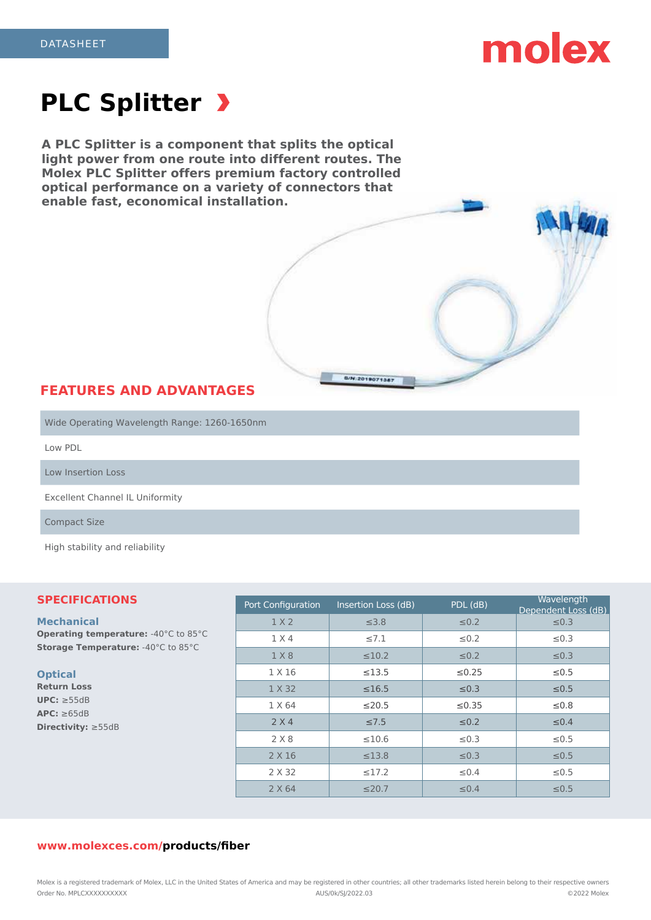# molex

# **PLC Splitter**

**A PLC Splitter is a component that splits the optical light power from one route into different routes. The Molex PLC Splitter offers premium factory controlled optical performance on a variety of connectors that enable fast, economical installation.**

### **FEATURES AND ADVANTAGES**

Wide Operating Wavelength Range: 1260-1650nm

Low PDL

Low Insertion Loss

Excellent Channel IL Uniformity

Compact Size

High stability and reliability

#### **SPECIFICATIONS**

### **Mechanical**

**Operating temperature: -40°C to 85°C Storage Temperature:** -40°C to 85°C

#### **Optical**

**Return Loss UPC:** ≥55dB **APC:** ≥65dB **Directivity:** ≥55dB

| Port Configuration | Insertion Loss (dB) | PDL (dB)    | Wavelength<br>Dependent Loss (dB) |
|--------------------|---------------------|-------------|-----------------------------------|
| 1 X 2              | $\leq 3.8$          | $\leq 0.2$  | $\leq 0.3$                        |
| 1 X 4              | $\leq 7.1$          | $\leq 0.2$  | $\leq 0.3$                        |
| 1 X 8              | $\leq 10.2$         | $\leq 0.2$  | $\leq 0.3$                        |
| 1 X 16             | ≤13.5               | $\leq 0.25$ | $\leq 0.5$                        |
| 1 X 32             | $\leq 16.5$         | $\leq 0.3$  | $\leq 0.5$                        |
| 1 X 64             | $\leq$ 20.5         | $\leq 0.35$ | ≤0.8                              |
| 2 X 4              | $\leq 7.5$          | $\leq 0.2$  | $\leq 0.4$                        |
| 2 X 8              | $\leq 10.6$         | $\leq 0.3$  | $\leq 0.5$                        |
| 2 X 16             | $\leq$ 13.8         | $\leq 0.3$  | $\leq 0.5$                        |
| 2 X 32             | $\leq$ 17.2         | $\leq 0.4$  | $\leq 0.5$                        |
| 2 X 64             | $\leq$ 20.7         | $\leq 0.4$  | $\leq 0.5$                        |

B/N:2019071387

#### **www.molexces.com/products/fiber**